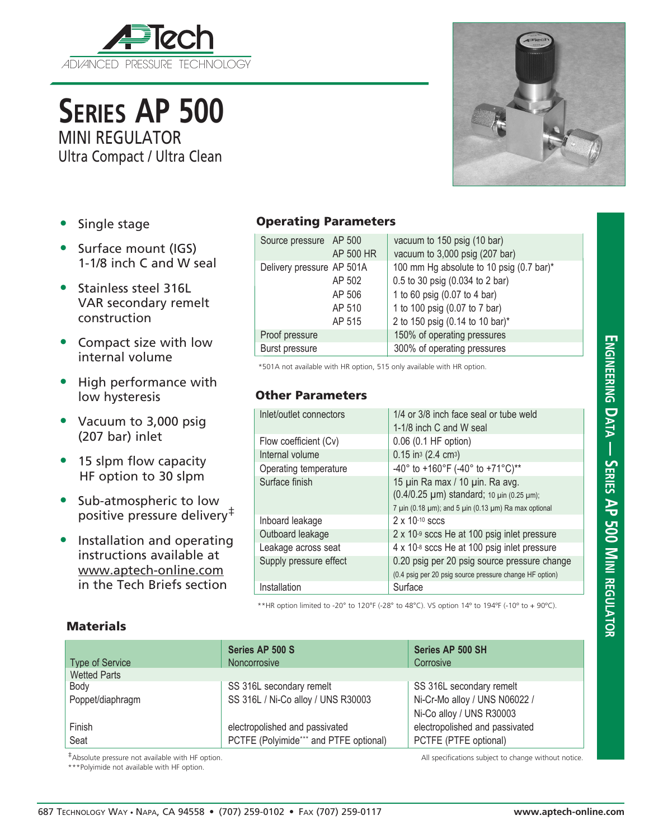

**Series AP 500** MINI REGULATOR

Ultra Compact / Ultra Clean

- Single stage
- Surface mount (IGS) 1-1/8 inch C and W seal
- Stainless steel 316L VAR secondary remelt construction
- Compact size with low internal volume
- High performance with low hysteresis
- Vacuum to 3,000 psig (207 bar) inlet
- 15 slpm flow capacity HF option to 30 slpm
- Sub-atmospheric to low positive pressure delivery<sup>‡</sup>
- Installation and operating instructions available at www.aptech-online.com in the Tech Briefs section

**Materials** 

## Operating Parameters

| Source pressure AP 500    |           | vacuum to 150 psig (10 bar)              |  |
|---------------------------|-----------|------------------------------------------|--|
|                           | AP 500 HR | vacuum to 3,000 psig (207 bar)           |  |
| Delivery pressure AP 501A |           | 100 mm Hg absolute to 10 psig (0.7 bar)* |  |
|                           | AP 502    | 0.5 to 30 psig (0.034 to 2 bar)          |  |
|                           | AP 506    | 1 to 60 psig (0.07 to 4 bar)             |  |
|                           | AP 510    | 1 to 100 psig (0.07 to 7 bar)            |  |
|                           | AP 515    | 2 to 150 psig (0.14 to 10 bar)*          |  |
| Proof pressure            |           | 150% of operating pressures              |  |
| Burst pressure            |           | 300% of operating pressures              |  |

\*501A not available with HR option, 515 only available with HR option.

## Other Parameters

| Inlet/outlet connectors | 1/4 or 3/8 inch face seal or tube weld<br>1-1/8 inch C and W seal |  |  |
|-------------------------|-------------------------------------------------------------------|--|--|
|                         |                                                                   |  |  |
| Flow coefficient (Cv)   | 0.06 (0.1 HF option)                                              |  |  |
| Internal volume         | $0.15$ in <sup>3</sup> (2.4 cm <sup>3</sup> )                     |  |  |
| Operating temperature   | -40° to +160°F (-40° to +71°C)**                                  |  |  |
| Surface finish          | 15 µin Ra max / 10 µin. Ra avg.                                   |  |  |
|                         | (0.4/0.25 µm) standard; 10 µin (0.25 µm);                         |  |  |
|                         | 7 µin (0.18 µm); and 5 µin (0.13 µm) Ra max optional              |  |  |
| Inboard leakage         | $2 \times 10^{-10}$ sccs                                          |  |  |
| Outboard leakage        | $2 \times 10^{-9}$ sccs He at 100 psig inlet pressure             |  |  |
| Leakage across seat     | 4 x 10-8 sccs He at 100 psig inlet pressure                       |  |  |
| Supply pressure effect  | 0.20 psig per 20 psig source pressure change                      |  |  |
|                         | (0.4 psig per 20 psig source pressure change HF option)           |  |  |
| Installation            | Surface                                                           |  |  |
|                         |                                                                   |  |  |

\*\*HR option limited to -20° to 120°F (-28° to 48°C). VS option 14º to 194ºF (-10º to + 90ºC).

|                        | Series AP 500 S                        | Series AP 500 SH               |
|------------------------|----------------------------------------|--------------------------------|
| <b>Type of Service</b> | <b>Noncorrosive</b>                    | Corrosive                      |
| <b>Wetted Parts</b>    |                                        |                                |
| Body                   | SS 316L secondary remelt               | SS 316L secondary remelt       |
| Poppet/diaphragm       | SS 316L / Ni-Co alloy / UNS R30003     | Ni-Cr-Mo alloy / UNS N06022 /  |
|                        |                                        | Ni-Co alloy / UNS R30003       |
| Finish                 | electropolished and passivated         | electropolished and passivated |
| Seat                   | PCTFE (Polyimide*** and PTFE optional) | PCTFE (PTFE optional)          |

\*\*\*Polyimide not available with HF option.

‡Absolute pressure not available with HF option. All specifications subject to change without notice.